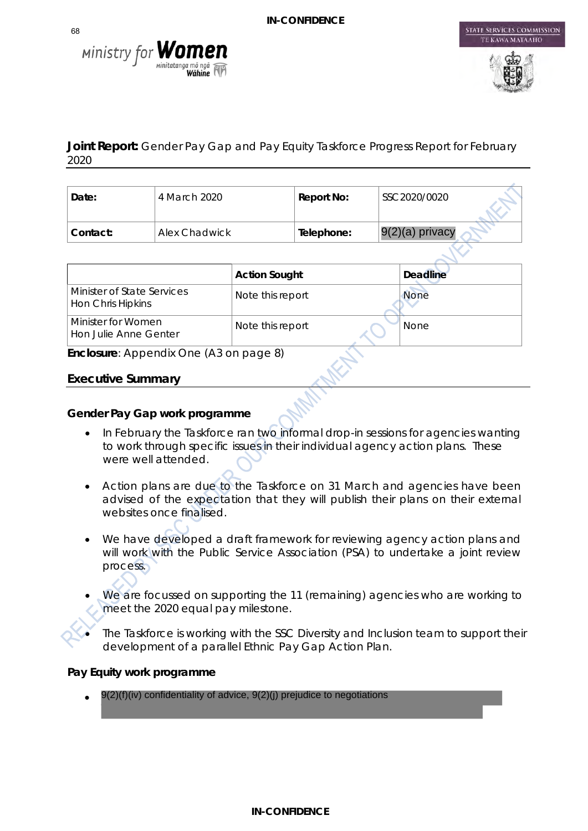



STATE SERVICES COMMISSION

# **Joint Report:** Gender Pay Gap and Pay Equity Taskforce Progress Report for February 2020

| Date:    | ' 4 March 2020 . | Report No: | SSC2020/0020      |
|----------|------------------|------------|-------------------|
| Contact: | Alex Chadwick    | Telephone: | $9(2)(a)$ privacy |

|                                                 | <b>Action Sought</b> | <b>Deadline</b> |
|-------------------------------------------------|----------------------|-----------------|
| Minister of State Services<br>Hon Chris Hipkins | Note this report     | None            |
| Minister for Women<br>Hon Julie Anne Genter     | Note this report     | <b>None</b>     |

**Enclosure**: Appendix One (A3 on page 8)

## **Executive Summary**

## **Gender Pay Gap work programme**

- In February the Taskforce ran two informal drop-in sessions for agencies wanting to work through specific issues in their individual agency action plans. These were well attended.
- Action plans are due to the Taskforce on 31 March and agencies have been advised of the expectation that they will publish their plans on their external websites once finalised.
- We have developed a draft framework for reviewing agency action plans and will work with the Public Service Association (PSA) to undertake a joint review process.
- We are focussed on supporting the 11 (remaining) agencies who are working to meet the 2020 equal pay milestone.
- The Taskforce is working with the SSC Diversity and Inclusion team to support their development of a parallel Ethnic Pay Gap Action Plan.

#### **Pay Equity work programme**

• 9(2)(f)(iv) confidentiality of advice, 9(2)(j) prejudice to negotiations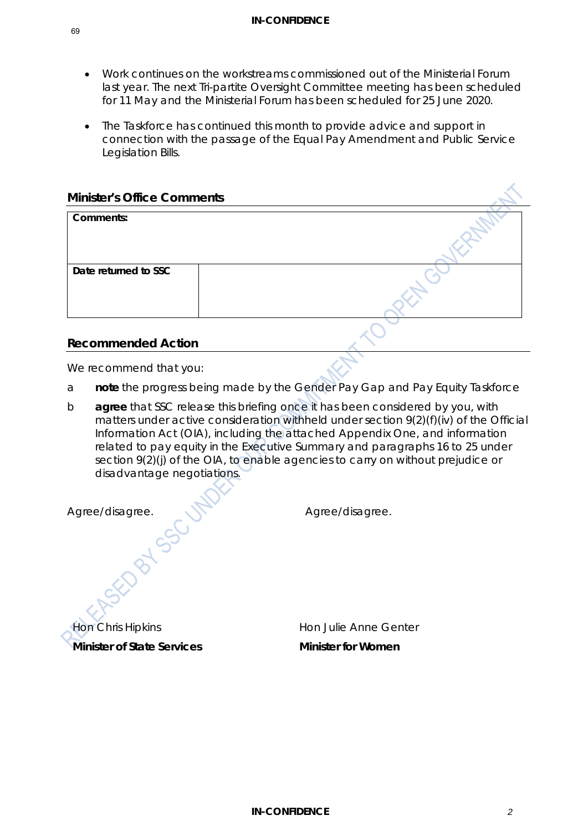- Work continues on the workstreams commissioned out of the Ministerial Forum last year. The next Tri-partite Oversight Committee meeting has been scheduled for 11 May and the Ministerial Forum has been scheduled for 25 June 2020.
- The Taskforce has continued this month to provide advice and support in connection with the passage of the Equal Pay Amendment and Public Service Legislation Bills.

| <b>Minister's Office Comments</b> |                                                                             |
|-----------------------------------|-----------------------------------------------------------------------------|
| Comments:                         |                                                                             |
|                                   |                                                                             |
| Date returned to SSC              |                                                                             |
|                                   |                                                                             |
|                                   |                                                                             |
| <b>Recommended Action</b>         |                                                                             |
| We recommend that you:            |                                                                             |
| a                                 | note the progress being made by the Gender Pay Gap and Pay Equity Taskforce |

b **agree** that SSC release this briefing once it has been considered by you, with matters under active consideration withheld under section 9(2)(f)(iv) of the Official Information Act (OIA), including the attached Appendix One, and information related to pay equity in the Executive Summary and paragraphs 16 to 25 under section 9(2)(j) of the OIA, to enable agencies to carry on without prejudice or disadvantage negotiations.

| Agree/disagree.                   | Agree/disagree.              |
|-----------------------------------|------------------------------|
|                                   |                              |
|                                   |                              |
| <b>Hon Chris Hipkins</b>          | <b>Hon Julie Anne Genter</b> |
| <b>Minister of State Services</b> | <b>Minister for Women</b>    |
|                                   |                              |
|                                   |                              |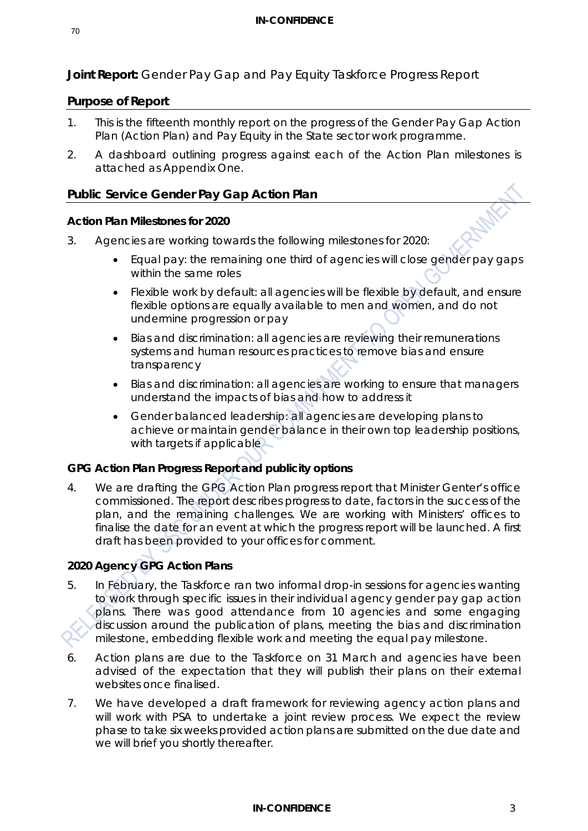**Joint Report:** Gender Pay Gap and Pay Equity Taskforce Progress Report

# **Purpose of Report**

- 1. This is the fifteenth monthly report on the progress of the Gender Pay Gap Action Plan (Action Plan) and Pay Equity in the State sector work programme.
- 2. A dashboard outlining progress against each of the Action Plan milestones is attached as Appendix One.

# **Public Service Gender Pay Gap Action Plan**

## **Action Plan Milestones for 2020**

- 3. Agencies are working towards the following milestones for 2020:
	- Equal pay: the remaining one third of agencies will close gender pay gaps within the same roles
	- Flexible work by default: all agencies will be flexible by default, and ensure flexible options are equally available to men and women, and do not undermine progression or pay
	- Bias and discrimination: all agencies are reviewing their remunerations systems and human resources practices to remove bias and ensure transparency
	- Bias and discrimination: all agencies are working to ensure that managers understand the impacts of bias and how to address it
	- Gender balanced leadership: all agencies are developing plans to achieve or maintain gender balance in their own top leadership positions, with targets if applicable.

# **GPG Action Plan Progress Report and publicity options**

4. We are drafting the GPG Action Plan progress report that Minister Genter's office commissioned. The report describes progress to date, factors in the success of the plan, and the remaining challenges. We are working with Ministers' offices to finalise the date for an event at which the progress report will be launched. A first draft has been provided to your offices for comment.

# **2020 Agency GPG Action Plans**

- 5. In February, the Taskforce ran two informal drop-in sessions for agencies wanting to work through specific issues in their individual agency gender pay gap action plans. There was good attendance from 10 agencies and some engaging discussion around the publication of plans, meeting the bias and discrimination milestone, embedding flexible work and meeting the equal pay milestone.
- 6. Action plans are due to the Taskforce on 31 March and agencies have been advised of the expectation that they will publish their plans on their external websites once finalised.
- 7. We have developed a draft framework for reviewing agency action plans and will work with PSA to undertake a joint review process. We expect the review phase to take six weeks provided action plans are submitted on the due date and we will brief you shortly thereafter.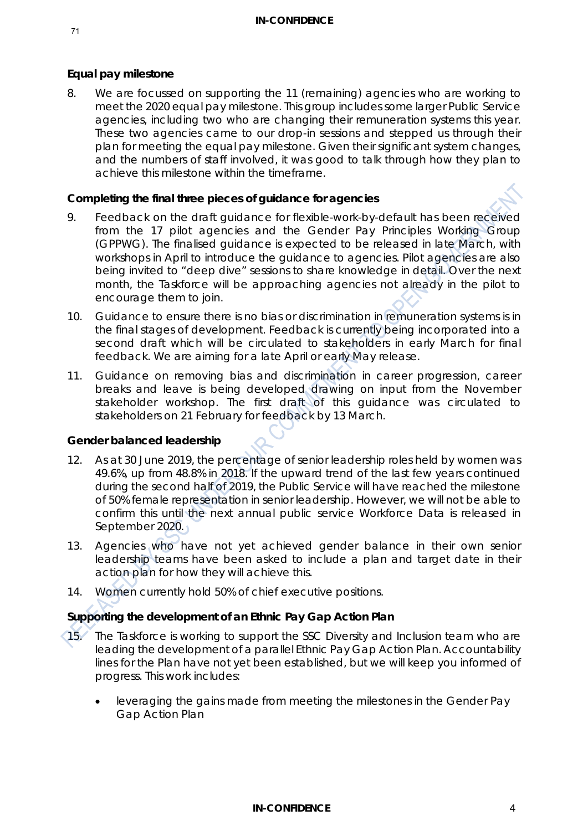## **Equal pay milestone**

8. We are focussed on supporting the 11 (remaining) agencies who are working to meet the 2020 equal pay milestone. This group includes some larger Public Service agencies, including two who are changing their remuneration systems this year. These two agencies came to our drop-in sessions and stepped us through their plan for meeting the equal pay milestone. Given their significant system changes, and the numbers of staff involved, it was good to talk through how they plan to achieve this milestone within the timeframe.

#### **Completing the final three pieces of guidance for agencies**

- 9. Feedback on the draft guidance for flexible-work-by-default has been received from the 17 pilot agencies and the Gender Pay Principles Working Group (GPPWG). The finalised guidance is expected to be released in late March, with workshops in April to introduce the guidance to agencies. Pilot agencies are also being invited to "deep dive" sessions to share knowledge in detail. Over the next month, the Taskforce will be approaching agencies not already in the pilot to encourage them to join.
- 10. Guidance to ensure there is no bias or discrimination in remuneration systems is in the final stages of development. Feedback is currently being incorporated into a second draft which will be circulated to stakeholders in early March for final feedback. We are aiming for a late April or early May release.
- 11. Guidance on removing bias and discrimination in career progression, career breaks and leave is being developed drawing on input from the November stakeholder workshop. The first draft of this guidance was circulated to stakeholders on 21 February for feedback by 13 March.

#### **Gender balanced leadership**

- 12. As at 30 June 2019, the percentage of senior leadership roles held by women was 49.6%, up from 48.8% in 2018. If the upward trend of the last few years continued during the second half of 2019, the Public Service will have reached the milestone of 50% female representation in senior leadership. However, we will not be able to confirm this until the next annual public service Workforce Data is released in September 2020.
- 13. Agencies who have not yet achieved gender balance in their own senior leadership teams have been asked to include a plan and target date in their action plan for how they will achieve this.
- 14. Women currently hold 50% of chief executive positions.

# **Supporting the development of an Ethnic Pay Gap Action Plan**

- 15. The Taskforce is working to support the SSC Diversity and Inclusion team who are leading the development of a parallel Ethnic Pay Gap Action Plan. Accountability lines for the Plan have not yet been established, but we will keep you informed of progress. This work includes:
	- leveraging the gains made from meeting the milestones in the Gender Pay Gap Action Plan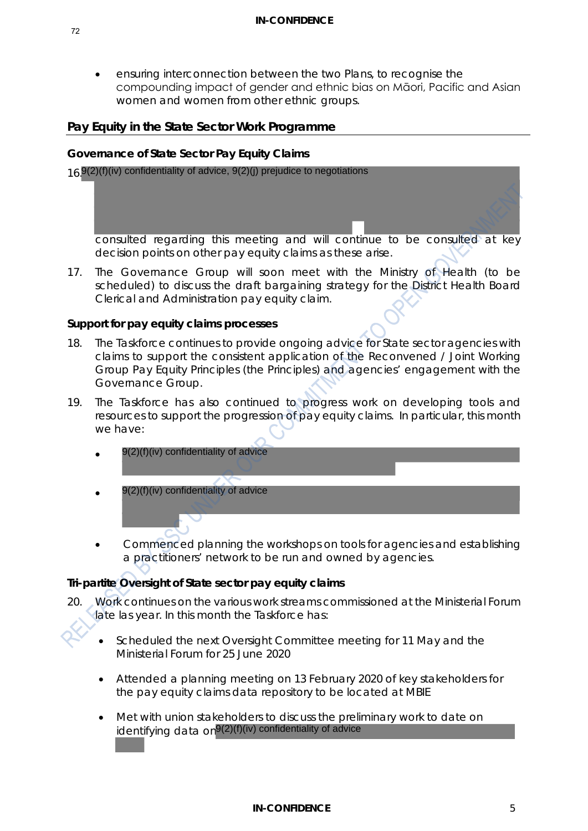• ensuring interconnection between the two Plans, to recognise the compounding impact of gender and ethnic bias on Māori, Pacific and Asian women and women from other ethnic groups.

#### **Pay Equity in the State Sector Work Programme**

#### **Governance of State Sector Pay Equity Claims**

16. 9(2)(f)(iv) confidentiality of advice, 9(2)(j) prejudice to negotiations

consulted regarding this meeting and will continue to be consulted at key decision points on other pay equity claims as these arise.

17. The Governance Group will soon meet with the Ministry of Health (to be scheduled) to discuss the draft bargaining strategy for the District Health Board Clerical and Administration pay equity claim.

#### **Support for pay equity claims processes**

- 18. The Taskforce continues to provide ongoing advice for State sector agencies with claims to support the consistent application of the Reconvened / Joint Working Group Pay Equity Principles (the Principles) and agencies' engagement with the Governance Group.
- 19. The Taskforce has also continued to progress work on developing tools and resources to support the progression of pay equity claims. In particular, this month we have:
	- •
	- 9(2)(f)(iv) confidentiality of advice
	- Commenced planning the workshops on tools for agencies and establishing a practitioners' network to be run and owned by agencies. 9(2)(f)(iv) confidentiality of advice<br>9(2)(f)(iv) confidentiality of advice<br> $\sqrt{9(2)(f)}$ (iv) confidentiality of advice<br> $\sqrt{9(2)(f)}$  confidentiality of advice<br> $\sqrt{9(2)}$  continues on the various work streams commit<br>as year. I

#### **Tri-partite Oversight of State sector pay equity claims**

- 20. Work continues on the various work streams commissioned at the Ministerial Forum late las year. In this month the Taskforce has:
	- Scheduled the next Oversight Committee meeting for 11 May and the Ministerial Forum for 25 June 2020
	- Attended a planning meeting on 13 February 2020 of key stakeholders for the pay equity claims data repository to be located at MBIE
	- Met with union stakeholders to discuss the preliminary work to date on identifying data on<sup>9(2)(f)(iv)</sup> confidentiality of advice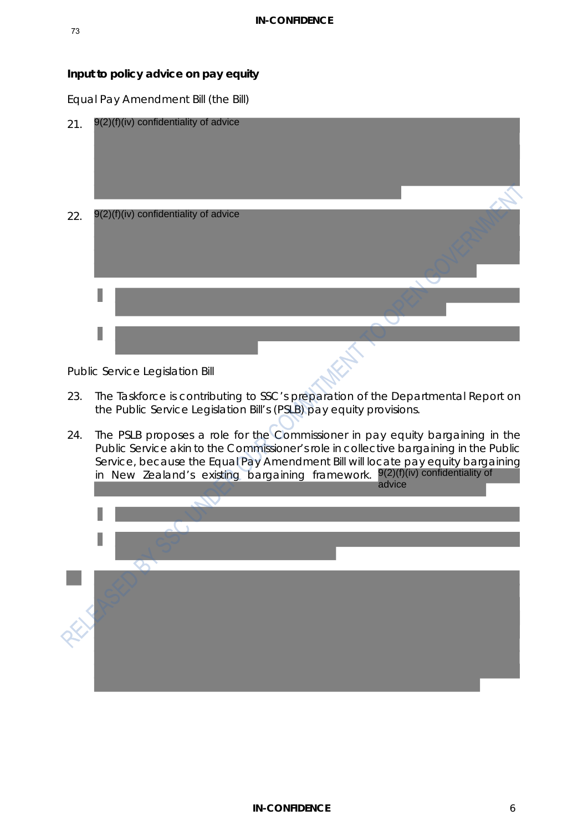# **Input to policy advice on pay equity**

*Equal Pay Amendment Bill (the Bill)*



*Public Service Legislation Bill*

- 23. The Taskforce is contributing to SSC's preparation of the Departmental Report on the Public Service Legislation Bill's (PSLB) pay equity provisions.
- 24. The PSLB proposes a role for the Commissioner in pay equity bargaining in the Public Service akin to the Commissioner's role in collective bargaining in the Public Service, because the Equal Pay Amendment Bill will locate pay equity bargaining in New Zealand's existing bargaining framework. <sup>9(2)(f)(iv) confidentiality of</sup>

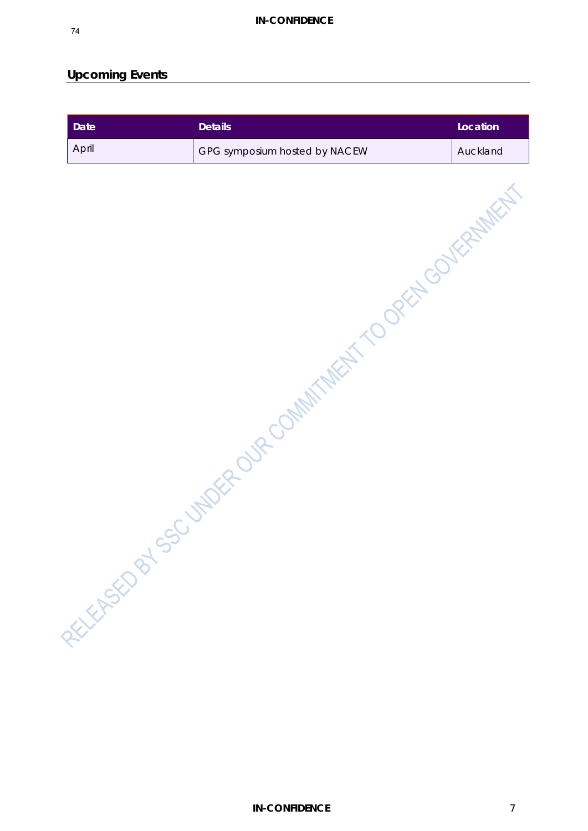# **Upcoming Events**

| <b>Date</b> | <b>Details</b>                          | Location |
|-------------|-----------------------------------------|----------|
| April       | GPG symposium hosted by NACEW           | Auckland |
|             | HALLESTO BY SOUTHWEST TO DREAM OF BOOKS |          |
|             |                                         |          |